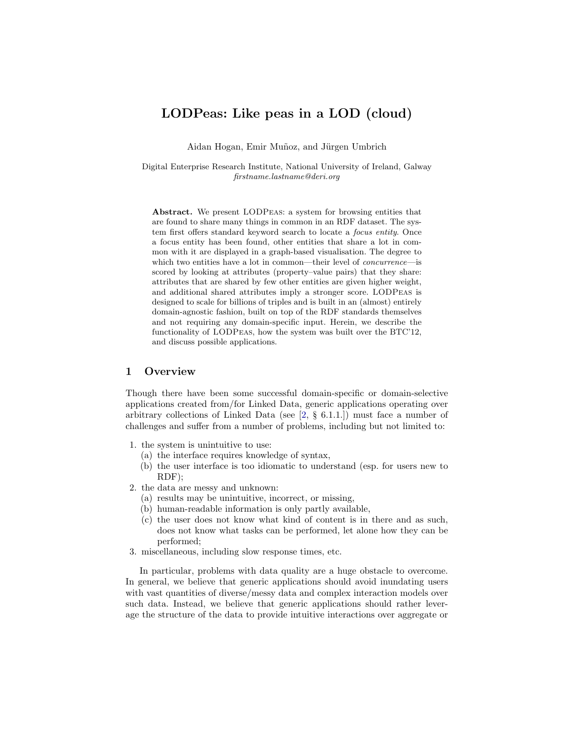# LODPeas: Like peas in a LOD (cloud)

Aidan Hogan, Emir Muñoz, and Jürgen Umbrich

Digital Enterprise Research Institute, National University of Ireland, Galway firstname.lastname@deri.org

Abstract. We present LODPeas: a system for browsing entities that are found to share many things in common in an RDF dataset. The system first offers standard keyword search to locate a focus entity. Once a focus entity has been found, other entities that share a lot in common with it are displayed in a graph-based visualisation. The degree to which two entities have a lot in common—their level of *concurrence*—is scored by looking at attributes (property–value pairs) that they share: attributes that are shared by few other entities are given higher weight, and additional shared attributes imply a stronger score. LODPeas is designed to scale for billions of triples and is built in an (almost) entirely domain-agnostic fashion, built on top of the RDF standards themselves and not requiring any domain-specific input. Herein, we describe the functionality of LODPeas, how the system was built over the BTC'12, and discuss possible applications.

### 1 Overview

Though there have been some successful domain-specific or domain-selective applications created from/for Linked Data, generic applications operating over arbitrary collections of Linked Data (see  $[2, \S 6.1.1]$  $[2, \S 6.1.1]$ ) must face a number of challenges and suffer from a number of problems, including but not limited to:

- 1. the system is unintuitive to use:
	- (a) the interface requires knowledge of syntax,
	- (b) the user interface is too idiomatic to understand (esp. for users new to RDF);
- 2. the data are messy and unknown:
	- (a) results may be unintuitive, incorrect, or missing,
	- (b) human-readable information is only partly available,
	- (c) the user does not know what kind of content is in there and as such, does not know what tasks can be performed, let alone how they can be performed;
- 3. miscellaneous, including slow response times, etc.

In particular, problems with data quality are a huge obstacle to overcome. In general, we believe that generic applications should avoid inundating users with vast quantities of diverse/messy data and complex interaction models over such data. Instead, we believe that generic applications should rather leverage the structure of the data to provide intuitive interactions over aggregate or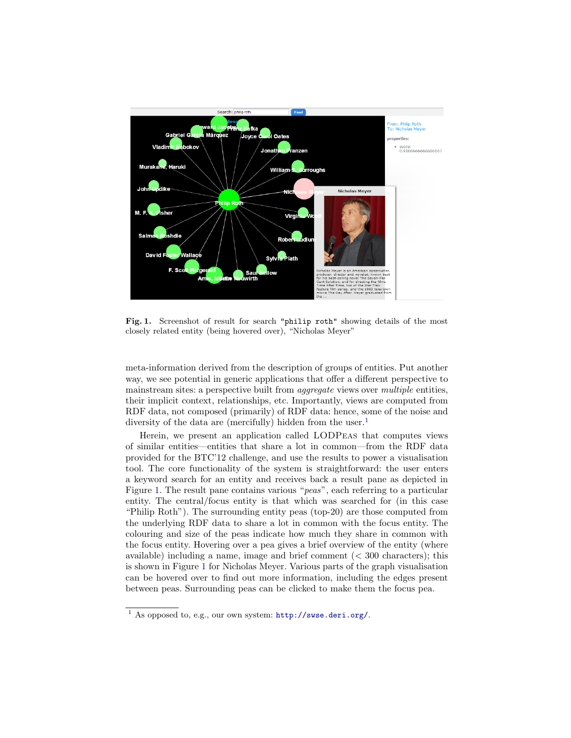

<span id="page-1-1"></span>Fig. 1. Screenshot of result for search "philip roth" showing details of the most closely related entity (being hovered over), "Nicholas Meyer"

meta-information derived from the description of groups of entities. Put another way, we see potential in generic applications that offer a different perspective to mainstream sites: a perspective built from *aggregate* views over *multiple* entities, their implicit context, relationships, etc. Importantly, views are computed from RDF data, not composed (primarily) of RDF data: hence, some of the noise and diversity of the data are (mercifully) hidden from the user.<sup>[1](#page-1-0)</sup>

Herein, we present an application called LODPeas that computes views of similar entities—entities that share a lot in common—from the RDF data provided for the BTC'12 challenge, and use the results to power a visualisation tool. The core functionality of the system is straightforward: the user enters a keyword search for an entity and receives back a result pane as depicted in Figure [1.](#page-1-1) The result pane contains various "peas", each referring to a particular entity. The central/focus entity is that which was searched for (in this case "Philip Roth"). The surrounding entity peas (top-20) are those computed from the underlying RDF data to share a lot in common with the focus entity. The colouring and size of the peas indicate how much they share in common with the focus entity. Hovering over a pea gives a brief overview of the entity (where available) including a name, image and brief comment  $( $300$  characters); this$ is shown in Figure [1](#page-1-1) for Nicholas Meyer. Various parts of the graph visualisation can be hovered over to find out more information, including the edges present between peas. Surrounding peas can be clicked to make them the focus pea.

<span id="page-1-0"></span><sup>1</sup> As opposed to, e.g., our own system: <http://swse.deri.org/>.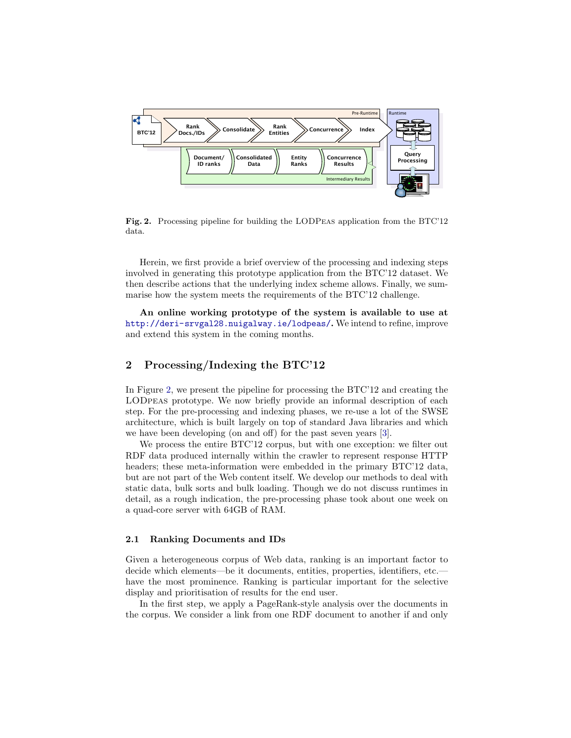

<span id="page-2-0"></span>Fig. 2. Processing pipeline for building the LODPeas application from the BTC'12 data.

Herein, we first provide a brief overview of the processing and indexing steps involved in generating this prototype application from the BTC'12 dataset. We then describe actions that the underlying index scheme allows. Finally, we summarise how the system meets the requirements of the BTC'12 challenge.

An online working prototype of the system is available to use at <http://deri-srvgal28.nuigalway.ie/lodpeas/>. We intend to refine, improve and extend this system in the coming months.

### 2 Processing/Indexing the BTC'12

In Figure [2,](#page-2-0) we present the pipeline for processing the BTC'12 and creating the LODpeas prototype. We now briefly provide an informal description of each step. For the pre-processing and indexing phases, we re-use a lot of the SWSE architecture, which is built largely on top of standard Java libraries and which we have been developing (on and off) for the past seven years [\[3\]](#page-7-1).

We process the entire BTC'12 corpus, but with one exception: we filter out RDF data produced internally within the crawler to represent response HTTP headers; these meta-information were embedded in the primary BTC'12 data, but are not part of the Web content itself. We develop our methods to deal with static data, bulk sorts and bulk loading. Though we do not discuss runtimes in detail, as a rough indication, the pre-processing phase took about one week on a quad-core server with 64GB of RAM.

#### 2.1 Ranking Documents and IDs

Given a heterogeneous corpus of Web data, ranking is an important factor to decide which elements—be it documents, entities, properties, identifiers, etc. have the most prominence. Ranking is particular important for the selective display and prioritisation of results for the end user.

In the first step, we apply a PageRank-style analysis over the documents in the corpus. We consider a link from one RDF document to another if and only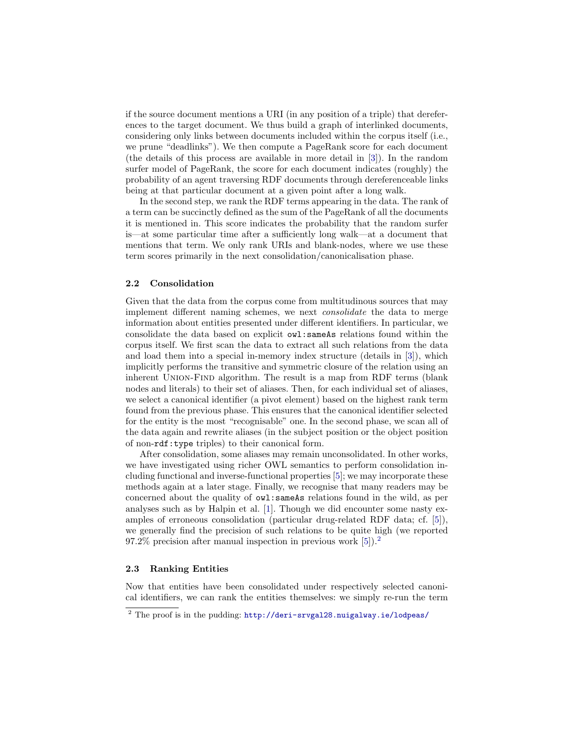if the source document mentions a URI (in any position of a triple) that dereferences to the target document. We thus build a graph of interlinked documents, considering only links between documents included within the corpus itself (i.e., we prune "deadlinks"). We then compute a PageRank score for each document (the details of this process are available in more detail in [\[3\]](#page-7-1)). In the random surfer model of PageRank, the score for each document indicates (roughly) the probability of an agent traversing RDF documents through dereferenceable links being at that particular document at a given point after a long walk.

In the second step, we rank the RDF terms appearing in the data. The rank of a term can be succinctly defined as the sum of the PageRank of all the documents it is mentioned in. This score indicates the probability that the random surfer is—at some particular time after a sufficiently long walk—at a document that mentions that term. We only rank URIs and blank-nodes, where we use these term scores primarily in the next consolidation/canonicalisation phase.

#### 2.2 Consolidation

Given that the data from the corpus come from multitudinous sources that may implement different naming schemes, we next consolidate the data to merge information about entities presented under different identifiers. In particular, we consolidate the data based on explicit owl:sameAs relations found within the corpus itself. We first scan the data to extract all such relations from the data and load them into a special in-memory index structure (details in [\[3\]](#page-7-1)), which implicitly performs the transitive and symmetric closure of the relation using an inherent Union-Find algorithm. The result is a map from RDF terms (blank nodes and literals) to their set of aliases. Then, for each individual set of aliases, we select a canonical identifier (a pivot element) based on the highest rank term found from the previous phase. This ensures that the canonical identifier selected for the entity is the most "recognisable" one. In the second phase, we scan all of the data again and rewrite aliases (in the subject position or the object position of non-rdf:type triples) to their canonical form.

After consolidation, some aliases may remain unconsolidated. In other works, we have investigated using richer OWL semantics to perform consolidation including functional and inverse-functional properties [\[5\]](#page-7-2); we may incorporate these methods again at a later stage. Finally, we recognise that many readers may be concerned about the quality of owl:sameAs relations found in the wild, as per analyses such as by Halpin et al. [\[1\]](#page-7-3). Though we did encounter some nasty examples of erroneous consolidation (particular drug-related RDF data; cf. [\[5\]](#page-7-2)), we generally find the precision of such relations to be quite high (we reported 97.2% precision after manual inspection in previous work [\[5\]](#page-7-2)).[2](#page-3-0)

#### 2.3 Ranking Entities

Now that entities have been consolidated under respectively selected canonical identifiers, we can rank the entities themselves: we simply re-run the term

<span id="page-3-0"></span> $\frac{2}{1}$  The proof is in the pudding: <http://deri-srvgal28.nuigalway.ie/lodpeas/>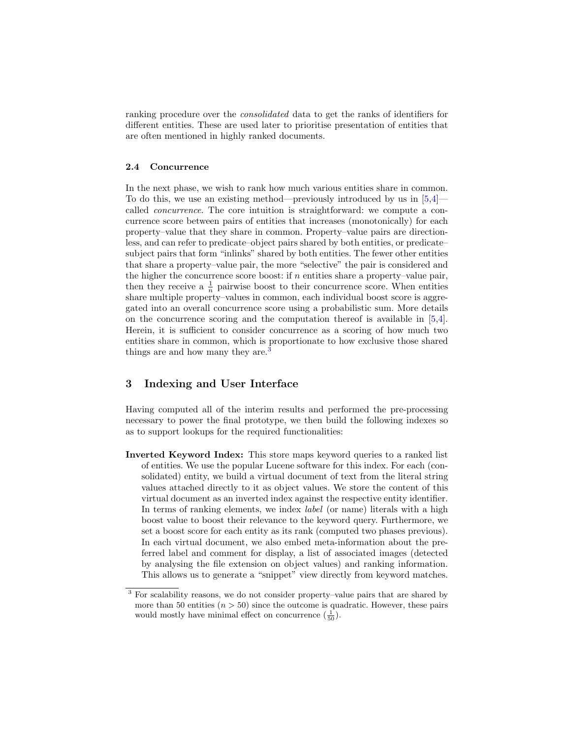ranking procedure over the consolidated data to get the ranks of identifiers for different entities. These are used later to prioritise presentation of entities that are often mentioned in highly ranked documents.

#### 2.4 Concurrence

In the next phase, we wish to rank how much various entities share in common. To do this, we use an existing method—previously introduced by us in  $[5,4]$  $[5,4]$  called concurrence. The core intuition is straightforward: we compute a concurrence score between pairs of entities that increases (monotonically) for each property–value that they share in common. Property–value pairs are directionless, and can refer to predicate–object pairs shared by both entities, or predicate– subject pairs that form "inlinks" shared by both entities. The fewer other entities that share a property–value pair, the more "selective" the pair is considered and the higher the concurrence score boost: if  $n$  entities share a property–value pair, then they receive a  $\frac{1}{n}$  pairwise boost to their concurrence score. When entities share multiple property–values in common, each individual boost score is aggregated into an overall concurrence score using a probabilistic sum. More details on the concurrence scoring and the computation thereof is available in [\[5,](#page-7-2)[4\]](#page-7-4). Herein, it is sufficient to consider concurrence as a scoring of how much two entities share in common, which is proportionate to how exclusive those shared things are and how many they are.<sup>[3](#page-4-0)</sup>

### 3 Indexing and User Interface

Having computed all of the interim results and performed the pre-processing necessary to power the final prototype, we then build the following indexes so as to support lookups for the required functionalities:

Inverted Keyword Index: This store maps keyword queries to a ranked list of entities. We use the popular Lucene software for this index. For each (consolidated) entity, we build a virtual document of text from the literal string values attached directly to it as object values. We store the content of this virtual document as an inverted index against the respective entity identifier. In terms of ranking elements, we index *label* (or name) literals with a high boost value to boost their relevance to the keyword query. Furthermore, we set a boost score for each entity as its rank (computed two phases previous). In each virtual document, we also embed meta-information about the preferred label and comment for display, a list of associated images (detected by analysing the file extension on object values) and ranking information. This allows us to generate a "snippet" view directly from keyword matches.

<span id="page-4-0"></span><sup>3</sup> For scalability reasons, we do not consider property–value pairs that are shared by more than 50 entities  $(n > 50)$  since the outcome is quadratic. However, these pairs would mostly have minimal effect on concurrence  $(\frac{1}{50})$ .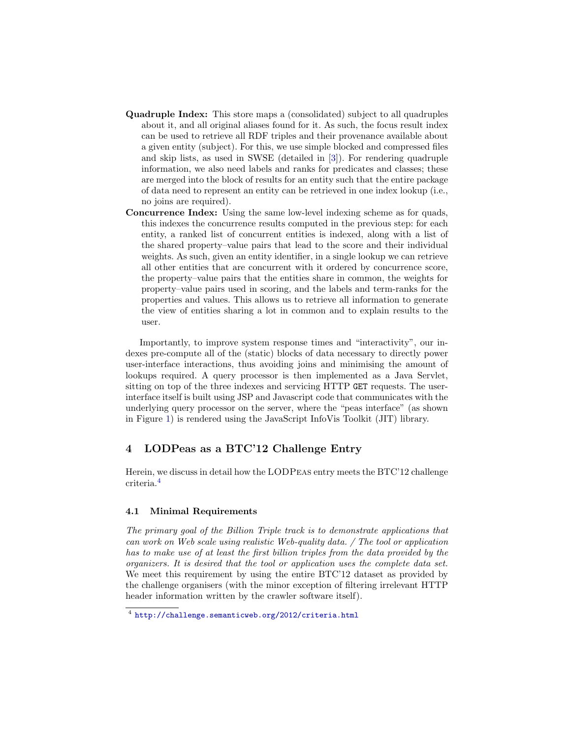- Quadruple Index: This store maps a (consolidated) subject to all quadruples about it, and all original aliases found for it. As such, the focus result index can be used to retrieve all RDF triples and their provenance available about a given entity (subject). For this, we use simple blocked and compressed files and skip lists, as used in SWSE (detailed in [\[3\]](#page-7-1)). For rendering quadruple information, we also need labels and ranks for predicates and classes; these are merged into the block of results for an entity such that the entire package of data need to represent an entity can be retrieved in one index lookup (i.e., no joins are required).
- Concurrence Index: Using the same low-level indexing scheme as for quads, this indexes the concurrence results computed in the previous step: for each entity, a ranked list of concurrent entities is indexed, along with a list of the shared property–value pairs that lead to the score and their individual weights. As such, given an entity identifier, in a single lookup we can retrieve all other entities that are concurrent with it ordered by concurrence score, the property–value pairs that the entities share in common, the weights for property–value pairs used in scoring, and the labels and term-ranks for the properties and values. This allows us to retrieve all information to generate the view of entities sharing a lot in common and to explain results to the user.

Importantly, to improve system response times and "interactivity", our indexes pre-compute all of the (static) blocks of data necessary to directly power user-interface interactions, thus avoiding joins and minimising the amount of lookups required. A query processor is then implemented as a Java Servlet, sitting on top of the three indexes and servicing HTTP GET requests. The userinterface itself is built using JSP and Javascript code that communicates with the underlying query processor on the server, where the "peas interface" (as shown in Figure [1\)](#page-1-1) is rendered using the JavaScript InfoVis Toolkit (JIT) library.

## 4 LODPeas as a BTC'12 Challenge Entry

Herein, we discuss in detail how the LODPeas entry meets the BTC'12 challenge criteria.[4](#page-5-0)

#### 4.1 Minimal Requirements

The primary goal of the Billion Triple track is to demonstrate applications that can work on Web scale using realistic Web-quality data. / The tool or application has to make use of at least the first billion triples from the data provided by the organizers. It is desired that the tool or application uses the complete data set. We meet this requirement by using the entire BTC'12 dataset as provided by the challenge organisers (with the minor exception of filtering irrelevant HTTP header information written by the crawler software itself).

<span id="page-5-0"></span><sup>4</sup> <http://challenge.semanticweb.org/2012/criteria.html>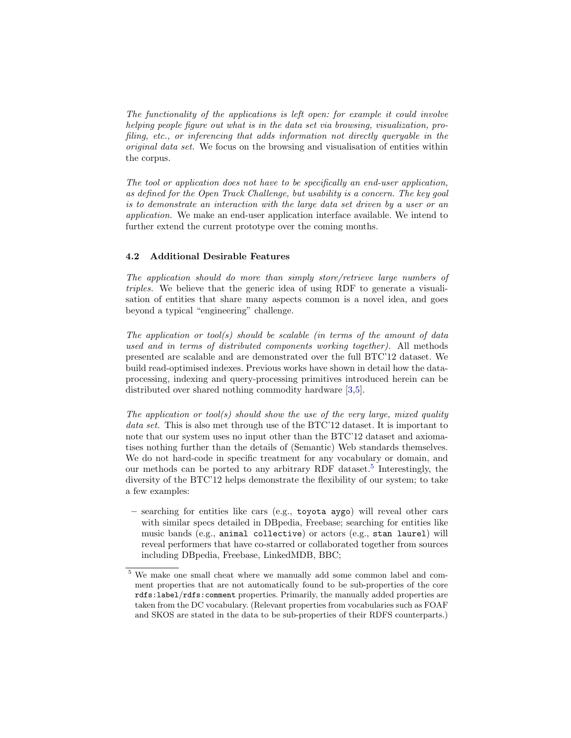The functionality of the applications is left open: for example it could involve helping people figure out what is in the data set via browsing, visualization, profiling, etc., or inferencing that adds information not directly queryable in the original data set. We focus on the browsing and visualisation of entities within the corpus.

The tool or application does not have to be specifically an end-user application, as defined for the Open Track Challenge, but usability is a concern. The key goal is to demonstrate an interaction with the large data set driven by a user or an application. We make an end-user application interface available. We intend to further extend the current prototype over the coming months.

### 4.2 Additional Desirable Features

The application should do more than simply store/retrieve large numbers of triples. We believe that the generic idea of using RDF to generate a visualisation of entities that share many aspects common is a novel idea, and goes beyond a typical "engineering" challenge.

The application or tool(s) should be scalable (in terms of the amount of data used and in terms of distributed components working together). All methods presented are scalable and are demonstrated over the full BTC'12 dataset. We build read-optimised indexes. Previous works have shown in detail how the dataprocessing, indexing and query-processing primitives introduced herein can be distributed over shared nothing commodity hardware [\[3,](#page-7-1)[5\]](#page-7-2).

The application or tool(s) should show the use of the very large, mixed quality data set. This is also met through use of the BTC'12 dataset. It is important to note that our system uses no input other than the BTC'12 dataset and axiomatises nothing further than the details of (Semantic) Web standards themselves. We do not hard-code in specific treatment for any vocabulary or domain, and our methods can be ported to any arbitrary RDF dataset.<sup>[5](#page-6-0)</sup> Interestingly, the diversity of the BTC'12 helps demonstrate the flexibility of our system; to take a few examples:

– searching for entities like cars (e.g., toyota aygo) will reveal other cars with similar specs detailed in DBpedia, Freebase; searching for entities like music bands (e.g., animal collective) or actors (e.g., stan laurel) will reveal performers that have co-starred or collaborated together from sources including DBpedia, Freebase, LinkedMDB, BBC;

<span id="page-6-0"></span><sup>5</sup> We make one small cheat where we manually add some common label and comment properties that are not automatically found to be sub-properties of the core rdfs:label/rdfs:comment properties. Primarily, the manually added properties are taken from the DC vocabulary. (Relevant properties from vocabularies such as FOAF and SKOS are stated in the data to be sub-properties of their RDFS counterparts.)